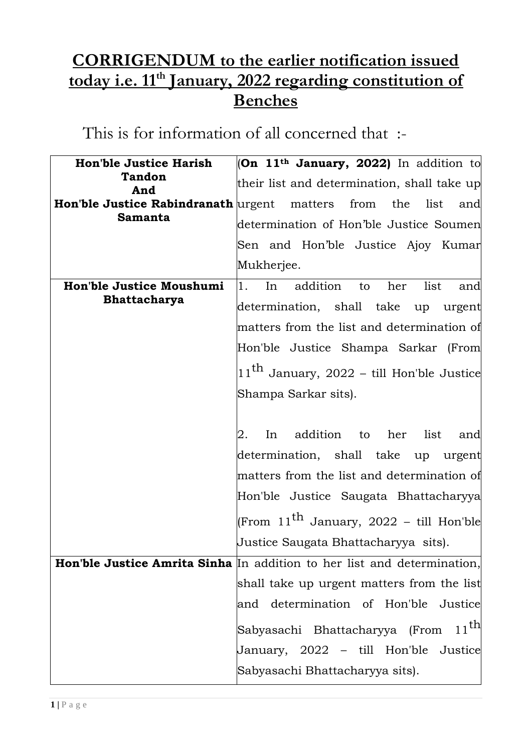## **CORRIGENDUM to the earlier notification issued today i.e. 11th January, 2022 regarding constitution of Benches**

This is for information of all concerned that :-

| <b>Hon'ble Justice Harish</b> | $ On 11th January, 2022 $ In addition to                                |
|-------------------------------|-------------------------------------------------------------------------|
| Tandon                        |                                                                         |
| And                           | their list and determination, shall take up                             |
|                               | <b>Hon'ble Justice Rabindranath</b> urgent matters from the list<br>and |
| <b>Samanta</b>                | determination of Hon'ble Justice Soumen                                 |
|                               | Sen and Hon'ble Justice Ajoy Kumar                                      |
|                               | Mukherjee.                                                              |
| Hon'ble Justice Moushumi      | 1.<br>addition to<br>her<br>list<br>In<br>and                           |
| <b>Bhattacharya</b>           | determination, shall take up urgent                                     |
|                               |                                                                         |
|                               | matters from the list and determination of                              |
|                               | Hon'ble Justice Shampa Sarkar (From                                     |
|                               | $11th$ January, 2022 – till Hon'ble Justice                             |
|                               | Shampa Sarkar sits).                                                    |
|                               |                                                                         |
|                               | In addition to her list<br>2.<br>and                                    |
|                               | determination, shall take up urgent                                     |
|                               | matters from the list and determination of                              |
|                               | Hon'ble Justice Saugata Bhattacharyya                                   |
|                               | (From $11^{\text{th}}$ January, 2022 – till Hon'ble                     |
|                               | Justice Saugata Bhattacharyya sits).                                    |
|                               | Hon'ble Justice Amrita Sinha In addition to her list and determination, |
|                               | shall take up urgent matters from the list                              |
|                               | determination of Hon'ble Justice<br>and                                 |
|                               |                                                                         |
|                               | $11^{\text{th}}$<br>Sabyasachi Bhattacharyya (From                      |
|                               | January, 2022 – till Hon'ble Justice                                    |
|                               | Sabyasachi Bhattacharyya sits).                                         |